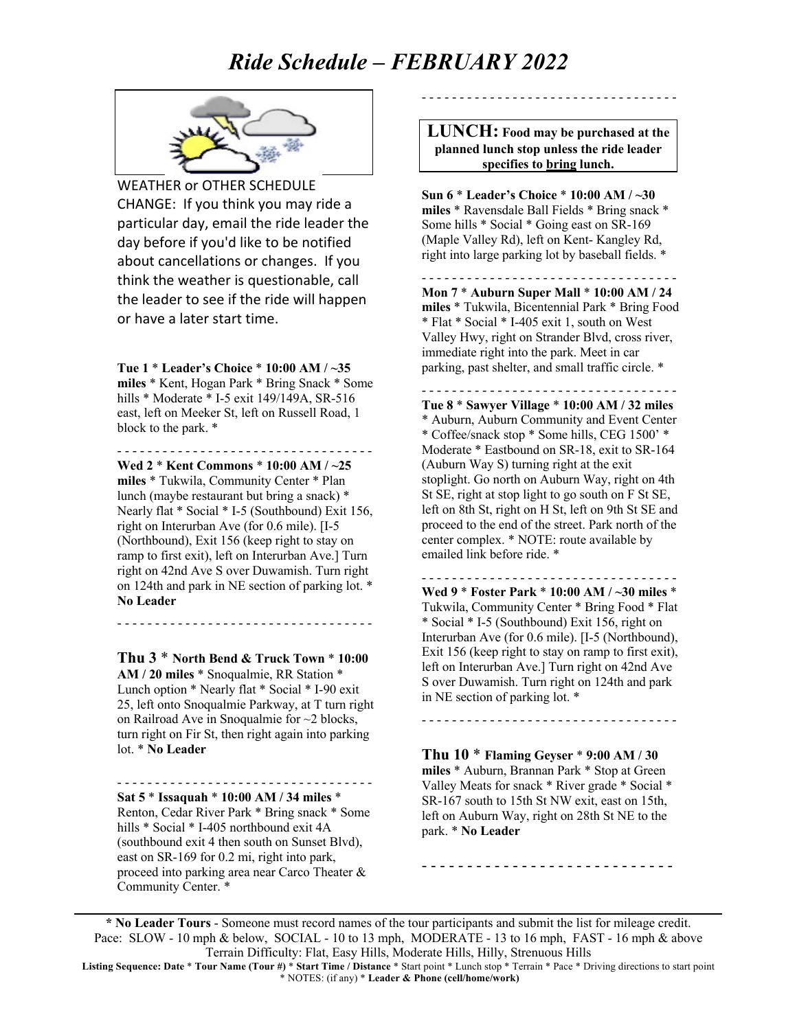# *Ride Schedule – FEBRUARY 2022*



WEATHER or OTHER SCHEDULE CHANGE: If you think you may ride a particular day, email the ride leader the day before if you'd like to be notified about cancellations or changes. If you think the weather is questionable, call the leader to see if the ride will happen or have a later start time.

**Tue 1** \* **Leader's Choice** \* **10:00 AM / ~35 miles** \* Kent, Hogan Park \* Bring Snack \* Some hills \* Moderate \* I-5 exit 149/149A, SR-516 east, left on Meeker St, left on Russell Road, 1 block to the park. \*

- - - - - - - - - - - - - - - - - - - - - - - - - - - - - - - - - - **Wed 2** \* **Kent Commons** \* **10:00 AM / ~25 miles** \* Tukwila, Community Center \* Plan lunch (maybe restaurant but bring a snack) \* Nearly flat \* Social \* I-5 (Southbound) Exit 156, right on Interurban Ave (for 0.6 mile). [I-5 (Northbound), Exit 156 (keep right to stay on ramp to first exit), left on Interurban Ave.] Turn right on 42nd Ave S over Duwamish. Turn right on 124th and park in NE section of parking lot. \* **No Leader**

- - - - - - - - - - - - - - - - - - - - - - - - - - - - - - - - - -

**Thu 3** \* **North Bend & Truck Town** \* **10:00 AM / 20 miles** \* Snoqualmie, RR Station \* Lunch option \* Nearly flat \* Social \* I-90 exit 25, left onto Snoqualmie Parkway, at T turn right on Railroad Ave in Snoqualmie for ~2 blocks, turn right on Fir St, then right again into parking lot. \* **No Leader** 

- - - - - - - - - - - - - - - - - - - - - - - - - - - - - - - - - -

**Sat 5** \* **Issaquah** \* **10:00 AM / 34 miles** \* Renton, Cedar River Park \* Bring snack \* Some hills \* Social \* I-405 northbound exit 4A (southbound exit 4 then south on Sunset Blvd), east on SR-169 for 0.2 mi, right into park, proceed into parking area near Carco Theater & Community Center. \*

**LUNCH: Food may be purchased at the planned lunch stop unless the ride leader specifies to bring lunch.**

- - - - - - - - - - - - - - - - - - - - - - - - - - - - - - - - - -

**Sun 6** \* **Leader's Choice** \* **10:00 AM / ~30 miles** \* Ravensdale Ball Fields \* Bring snack \* Some hills \* Social \* Going east on SR-169 (Maple Valley Rd), left on Kent- Kangley Rd, right into large parking lot by baseball fields. \*

- - - - - - - - - - - - - - - - - - - - - - - - - - - - - - - - - - **Mon 7** \* **Auburn Super Mall** \* **10:00 AM / 24 miles** \* Tukwila, Bicentennial Park \* Bring Food \* Flat \* Social \* I-405 exit 1, south on West Valley Hwy, right on Strander Blvd, cross river, immediate right into the park. Meet in car parking, past shelter, and small traffic circle. \*

- - - - - - - - - - - - - - - - - - - - - - - - - - - - - - - - - - **Tue 8** \* **Sawyer Village** \* **10:00 AM / 32 miles** \* Auburn, Auburn Community and Event Center \* Coffee/snack stop \* Some hills, CEG 1500' \* Moderate \* Eastbound on SR-18, exit to SR-164 (Auburn Way S) turning right at the exit stoplight. Go north on Auburn Way, right on 4th St SE, right at stop light to go south on F St SE, left on 8th St, right on H St, left on 9th St SE and proceed to the end of the street. Park north of the center complex. \* NOTE: route available by emailed link before ride. \*

**Wed 9** \* **Foster Park** \* **10:00 AM / ~30 miles** \* Tukwila, Community Center \* Bring Food \* Flat \* Social \* I-5 (Southbound) Exit 156, right on Interurban Ave (for 0.6 mile). [I-5 (Northbound), Exit 156 (keep right to stay on ramp to first exit), left on Interurban Ave.] Turn right on 42nd Ave S over Duwamish. Turn right on 124th and park in NE section of parking lot. \*

- - - - - - - - - - - - - - - - - - - - - - - - - - - - - - - - - -

- - - - - - - - - - - - - - - - - - - - - - - - - - - - - - - - - -

**Thu 10** \* **Flaming Geyser** \* **9:00 AM / 30 miles** \* Auburn, Brannan Park \* Stop at Green Valley Meats for snack \* River grade \* Social \* SR-167 south to 15th St NW exit, east on 15th, left on Auburn Way, right on 28th St NE to the park. \* **No Leader**

- - - - - - - - - - - - - - - - - - - - - - - - - - - -

**\* No Leader Tours** - Someone must record names of the tour participants and submit the list for mileage credit. Pace: SLOW - 10 mph & below, SOCIAL - 10 to 13 mph, MODERATE - 13 to 16 mph, FAST - 16 mph & above Terrain Difficulty: Flat, Easy Hills, Moderate Hills, Hilly, Strenuous Hills

**Listing Sequence: Date** \* **Tour Name (Tour #)** \* **Start Time / Distance** \* Start point \* Lunch stop \* Terrain \* Pace \* Driving directions to start point \* NOTES: (if any) \* **Leader & Phone (cell/home/work)**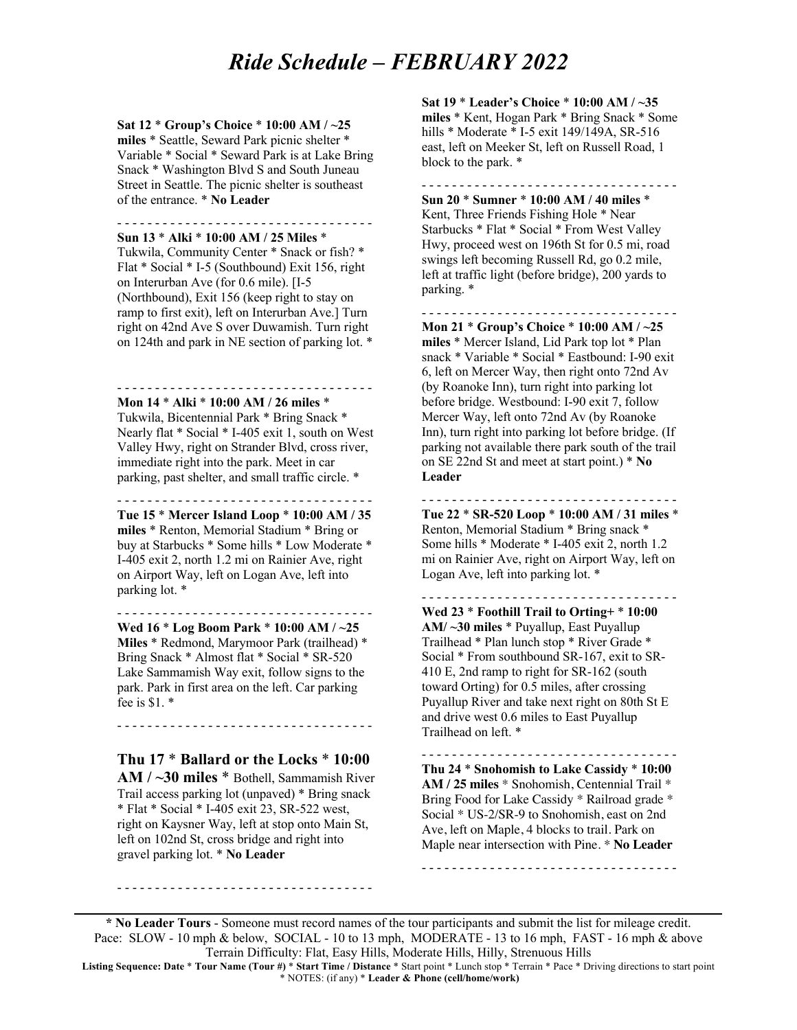### *Ride Schedule – FEBRUARY 2022*

#### **Sat 12** \* **Group's Choice** \* **10:00 AM / ~25 miles** \* Seattle, Seward Park picnic shelter \* Variable \* Social \* Seward Park is at Lake Bring Snack \* Washington Blvd S and South Juneau Street in Seattle. The picnic shelter is southeast of the entrance. \* **No Leader**

- - - - - - - - - - - - - - - - - - - - - - - - - - - - - - - - - - **Sun 13** \* **Alki** \* **10:00 AM / 25 Miles** \*

Tukwila, Community Center \* Snack or fish? \* Flat \* Social \* I-5 (Southbound) Exit 156, right on Interurban Ave (for 0.6 mile). [I-5 (Northbound), Exit 156 (keep right to stay on ramp to first exit), left on Interurban Ave.] Turn right on 42nd Ave S over Duwamish. Turn right on 124th and park in NE section of parking lot. \*

- - - - - - - - - - - - - - - - - - - - - - - - - - - - - - - - - - **Mon 14** \* **Alki** \* **10:00 AM / 26 miles** \*

Tukwila, Bicentennial Park \* Bring Snack \* Nearly flat \* Social \* I-405 exit 1, south on West Valley Hwy, right on Strander Blvd, cross river, immediate right into the park. Meet in car parking, past shelter, and small traffic circle. \*

- - - - - - - - - - - - - - - - - - - - - - - - - - - - - - - - - -

**Tue 15** \* **Mercer Island Loop** \* **10:00 AM / 35 miles** \* Renton, Memorial Stadium \* Bring or buy at Starbucks \* Some hills \* Low Moderate \* I-405 exit 2, north 1.2 mi on Rainier Ave, right on Airport Way, left on Logan Ave, left into parking lot. \*

- - - - - - - - - - - - - - - - - - - - - - - - - - - - - - - - - -

**Wed 16** \* **Log Boom Park** \* **10:00 AM / ~25 Miles** \* Redmond, Marymoor Park (trailhead) \* Bring Snack \* Almost flat \* Social \* SR-520 Lake Sammamish Way exit, follow signs to the park. Park in first area on the left. Car parking fee is \$1. \*

**Thu 17** \* **Ballard or the Locks** \* **10:00** 

- - - - - - - - - - - - - - - - - - - - - - - - - - - - - - - - - -

**AM / ~30 miles** \* Bothell, Sammamish River Trail access parking lot (unpaved) \* Bring snack \* Flat \* Social \* I-405 exit 23, SR-522 west, right on Kaysner Way, left at stop onto Main St, left on 102nd St, cross bridge and right into gravel parking lot. \* **No Leader**

- - - - - - - - - - - - - - - - - - - - - - - - - - - - - - - - - -

**Sat 19** \* **Leader's Choice** \* **10:00 AM / ~35 miles** \* Kent, Hogan Park \* Bring Snack \* Some hills \* Moderate \* I-5 exit 149/149A, SR-516 east, left on Meeker St, left on Russell Road, 1 block to the park. \*

- - - - - - - - - - - - - - - - - - - - - - - - - - - - - - - - - - **Sun 20** \* **Sumner** \* **10:00 AM / 40 miles** \* Kent, Three Friends Fishing Hole \* Near Starbucks \* Flat \* Social \* From West Valley Hwy, proceed west on 196th St for 0.5 mi, road swings left becoming Russell Rd, go 0.2 mile, left at traffic light (before bridge), 200 yards to parking. \*

- - - - - - - - - - - - - - - - - - - - - - - - - - - - - - - - - - **Mon 21** \* **Group's Choice** \* **10:00 AM / ~25 miles** \* Mercer Island, Lid Park top lot \* Plan snack \* Variable \* Social \* Eastbound: I-90 exit 6, left on Mercer Way, then right onto 72nd Av (by Roanoke Inn), turn right into parking lot before bridge. Westbound: I-90 exit 7, follow Mercer Way, left onto 72nd Av (by Roanoke Inn), turn right into parking lot before bridge. (If parking not available there park south of the trail

- - - - - - - - - - - - - - - - - - - - - - - - - - - - - - - - - - **Tue 22** \* **SR-520 Loop** \* **10:00 AM / 31 miles** \* Renton, Memorial Stadium \* Bring snack \* Some hills \* Moderate \* I-405 exit 2, north 1.2 mi on Rainier Ave, right on Airport Way, left on Logan Ave, left into parking lot. \*

- - - - - - - - - - - - - - - - - - - - - - - - - - - - - - - - - -

on SE 22nd St and meet at start point.) \* **No** 

**Leader**

**Wed 23** \* **Foothill Trail to Orting+** \* **10:00 AM/ ~30 miles** \* Puyallup, East Puyallup Trailhead \* Plan lunch stop \* River Grade \* Social \* From southbound SR-167, exit to SR-410 E, 2nd ramp to right for SR-162 (south toward Orting) for 0.5 miles, after crossing Puyallup River and take next right on 80th St E and drive west 0.6 miles to East Puyallup Trailhead on left. \*

- - - - - - - - - - - - - - - - - - - - - - - - - - - - - - - - - - **Thu 24** \* **Snohomish to Lake Cassidy** \* **10:00 AM / 25 miles** \* Snohomish, Centennial Trail \* Bring Food for Lake Cassidy \* Railroad grade \* Social \* US-2/SR-9 to Snohomish, east on 2nd Ave, left on Maple, 4 blocks to trail. Park on Maple near intersection with Pine. \* **No Leader**

- - - - - - - - - - - - - - - - - - - - - - - - - - - - - - - - - -

**\* No Leader Tours** - Someone must record names of the tour participants and submit the list for mileage credit. Pace: SLOW - 10 mph & below, SOCIAL - 10 to 13 mph, MODERATE - 13 to 16 mph, FAST - 16 mph & above Terrain Difficulty: Flat, Easy Hills, Moderate Hills, Hilly, Strenuous Hills

**Listing Sequence: Date** \* **Tour Name (Tour #)** \* **Start Time / Distance** \* Start point \* Lunch stop \* Terrain \* Pace \* Driving directions to start point \* NOTES: (if any) \* **Leader & Phone (cell/home/work)**